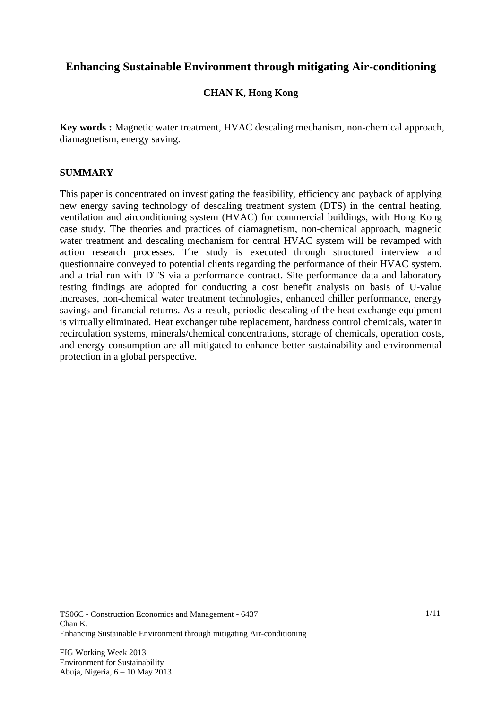# **Enhancing Sustainable Environment through mitigating Air-conditioning**

# **CHAN K, Hong Kong**

**Key words :** Magnetic water treatment, HVAC descaling mechanism, non-chemical approach, diamagnetism, energy saving.

# **SUMMARY**

This paper is concentrated on investigating the feasibility, efficiency and payback of applying new energy saving technology of descaling treatment system (DTS) in the central heating, ventilation and airconditioning system (HVAC) for commercial buildings, with Hong Kong case study. The theories and practices of diamagnetism, non-chemical approach, magnetic water treatment and descaling mechanism for central HVAC system will be revamped with action research processes. The study is executed through structured interview and questionnaire conveyed to potential clients regarding the performance of their HVAC system, and a trial run with DTS via a performance contract. Site performance data and laboratory testing findings are adopted for conducting a cost benefit analysis on basis of U-value increases, non-chemical water treatment technologies, enhanced chiller performance, energy savings and financial returns. As a result, periodic descaling of the heat exchange equipment is virtually eliminated. Heat exchanger tube replacement, hardness control chemicals, water in recirculation systems, minerals/chemical concentrations, storage of chemicals, operation costs, and energy consumption are all mitigated to enhance better sustainability and environmental protection in a global perspective.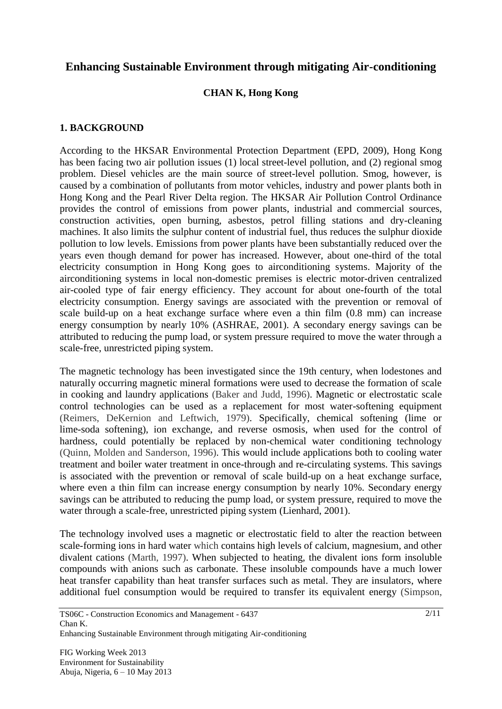# **Enhancing Sustainable Environment through mitigating Air-conditioning**

# **CHAN K, Hong Kong**

### **1. BACKGROUND**

According to the HKSAR Environmental Protection Department (EPD, 2009), Hong Kong has been facing two air pollution issues (1) local street-level pollution, and (2) regional smog problem. Diesel vehicles are the main source of street-level pollution. Smog, however, is caused by a combination of pollutants from motor vehicles, industry and power plants both in Hong Kong and the Pearl River Delta region. The HKSAR Air Pollution Control Ordinance provides the control of emissions from power plants, industrial and commercial sources, construction activities, open burning, asbestos, petrol filling stations and dry-cleaning machines. It also limits the sulphur content of industrial fuel, thus reduces the sulphur dioxide pollution to low levels. Emissions from power plants have been substantially reduced over the years even though demand for power has increased. However, about one-third of the total electricity consumption in Hong Kong goes to airconditioning systems. Majority of the airconditioning systems in local non-domestic premises is electric motor-driven centralized air-cooled type of fair energy efficiency. They account for about one-fourth of the total electricity consumption. Energy savings are associated with the prevention or removal of scale build-up on a heat exchange surface where even a thin film (0.8 mm) can increase energy consumption by nearly 10% (ASHRAE, 2001). A secondary energy savings can be attributed to reducing the pump load, or system pressure required to move the water through a scale-free, unrestricted piping system.

The magnetic technology has been investigated since the 19th century, when lodestones and naturally occurring magnetic mineral formations were used to decrease the formation of scale in cooking and laundry applications (Baker and Judd, 1996). Magnetic or electrostatic scale control technologies can be used as a replacement for most water-softening equipment (Reimers, DeKernion and Leftwich, 1979). Specifically, chemical softening (lime or lime-soda softening), ion exchange, and reverse osmosis, when used for the control of hardness, could potentially be replaced by non-chemical water conditioning technology (Quinn, Molden and Sanderson, 1996). This would include applications both to cooling water treatment and boiler water treatment in once-through and re-circulating systems. This savings is associated with the prevention or removal of scale build-up on a heat exchange surface, where even a thin film can increase energy consumption by nearly 10%. Secondary energy savings can be attributed to reducing the pump load, or system pressure, required to move the water through a scale-free, unrestricted piping system (Lienhard, 2001).

The technology involved uses a magnetic or electrostatic field to alter the reaction between scale-forming ions in hard water which contains high levels of calcium, magnesium, and other divalent cations (Marth, 1997). When subjected to heating, the divalent ions form insoluble compounds with anions such as carbonate. These insoluble compounds have a much lower heat transfer capability than heat transfer surfaces such as metal. They are insulators, where additional fuel consumption would be required to transfer its equivalent energy (Simpson,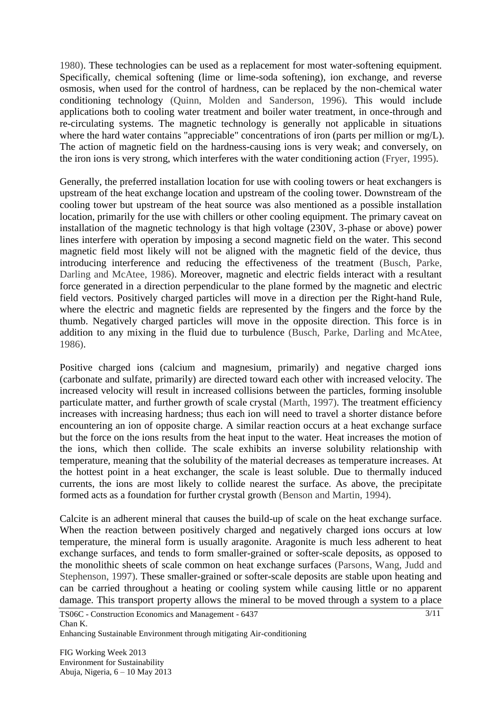1980). These technologies can be used as a replacement for most water-softening equipment. Specifically, chemical softening (lime or lime-soda softening), ion exchange, and reverse osmosis, when used for the control of hardness, can be replaced by the non-chemical water conditioning technology (Quinn, Molden and Sanderson, 1996). This would include applications both to cooling water treatment and boiler water treatment, in once-through and re-circulating systems. The magnetic technology is generally not applicable in situations where the hard water contains "appreciable" concentrations of iron (parts per million or mg/L). The action of magnetic field on the hardness-causing ions is very weak; and conversely, on the iron ions is very strong, which interferes with the water conditioning action (Fryer, 1995).

Generally, the preferred installation location for use with cooling towers or heat exchangers is upstream of the heat exchange location and upstream of the cooling tower. Downstream of the cooling tower but upstream of the heat source was also mentioned as a possible installation location, primarily for the use with chillers or other cooling equipment. The primary caveat on installation of the magnetic technology is that high voltage (230V, 3-phase or above) power lines interfere with operation by imposing a second magnetic field on the water. This second magnetic field most likely will not be aligned with the magnetic field of the device, thus introducing interference and reducing the effectiveness of the treatment (Busch, Parke, Darling and McAtee, 1986). Moreover, magnetic and electric fields interact with a resultant force generated in a direction perpendicular to the plane formed by the magnetic and electric field vectors. Positively charged particles will move in a direction per the Right-hand Rule, where the electric and magnetic fields are represented by the fingers and the force by the thumb. Negatively charged particles will move in the opposite direction. This force is in addition to any mixing in the fluid due to turbulence (Busch, Parke, Darling and McAtee, 1986).

Positive charged ions (calcium and magnesium, primarily) and negative charged ions (carbonate and sulfate, primarily) are directed toward each other with increased velocity. The increased velocity will result in increased collisions between the particles, forming insoluble particulate matter, and further growth of scale crystal (Marth, 1997). The treatment efficiency increases with increasing hardness; thus each ion will need to travel a shorter distance before encountering an ion of opposite charge. A similar reaction occurs at a heat exchange surface but the force on the ions results from the heat input to the water. Heat increases the motion of the ions, which then collide. The scale exhibits an inverse solubility relationship with temperature, meaning that the solubility of the material decreases as temperature increases. At the hottest point in a heat exchanger, the scale is least soluble. Due to thermally induced currents, the ions are most likely to collide nearest the surface. As above, the precipitate formed acts as a foundation for further crystal growth (Benson and Martin, 1994).

Calcite is an adherent mineral that causes the build-up of scale on the heat exchange surface. When the reaction between positively charged and negatively charged ions occurs at low temperature, the mineral form is usually aragonite. Aragonite is much less adherent to heat exchange surfaces, and tends to form smaller-grained or softer-scale deposits, as opposed to the monolithic sheets of scale common on heat exchange surfaces (Parsons, Wang, Judd and Stephenson, 1997). These smaller-grained or softer-scale deposits are stable upon heating and can be carried throughout a heating or cooling system while causing little or no apparent damage. This transport property allows the mineral to be moved through a system to a place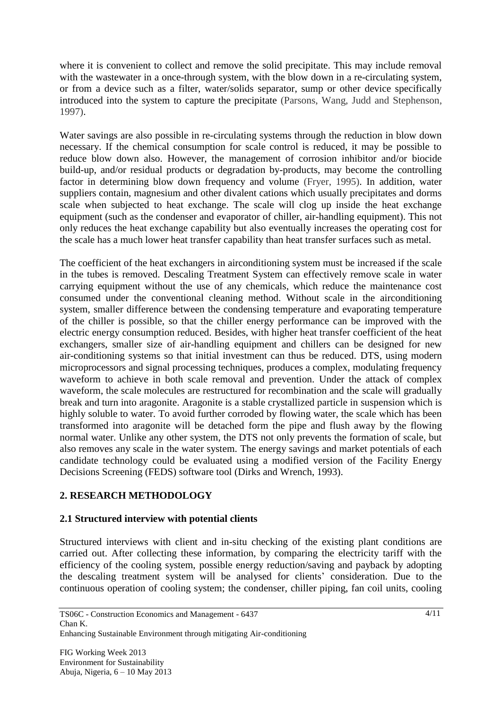where it is convenient to collect and remove the solid precipitate. This may include removal with the wastewater in a once-through system, with the blow down in a re-circulating system, or from a device such as a filter, water/solids separator, sump or other device specifically introduced into the system to capture the precipitate (Parsons, Wang, Judd and Stephenson, 1997).

Water savings are also possible in re-circulating systems through the reduction in blow down necessary. If the chemical consumption for scale control is reduced, it may be possible to reduce blow down also. However, the management of corrosion inhibitor and/or biocide build-up, and/or residual products or degradation by-products, may become the controlling factor in determining blow down frequency and volume (Fryer, 1995). In addition, water suppliers contain, magnesium and other divalent cations which usually precipitates and dorms scale when subjected to heat exchange. The scale will clog up inside the heat exchange equipment (such as the condenser and evaporator of chiller, air-handling equipment). This not only reduces the heat exchange capability but also eventually increases the operating cost for the scale has a much lower heat transfer capability than heat transfer surfaces such as metal.

The coefficient of the heat exchangers in airconditioning system must be increased if the scale in the tubes is removed. Descaling Treatment System can effectively remove scale in water carrying equipment without the use of any chemicals, which reduce the maintenance cost consumed under the conventional cleaning method. Without scale in the airconditioning system, smaller difference between the condensing temperature and evaporating temperature of the chiller is possible, so that the chiller energy performance can be improved with the electric energy consumption reduced. Besides, with higher heat transfer coefficient of the heat exchangers, smaller size of air-handling equipment and chillers can be designed for new air-conditioning systems so that initial investment can thus be reduced. DTS, using modern microprocessors and signal processing techniques, produces a complex, modulating frequency waveform to achieve in both scale removal and prevention. Under the attack of complex waveform, the scale molecules are restructured for recombination and the scale will gradually break and turn into aragonite. Aragonite is a stable crystallized particle in suspension which is highly soluble to water. To avoid further corroded by flowing water, the scale which has been transformed into aragonite will be detached form the pipe and flush away by the flowing normal water. Unlike any other system, the DTS not only prevents the formation of scale, but also removes any scale in the water system. The energy savings and market potentials of each candidate technology could be evaluated using a modified version of the Facility Energy Decisions Screening (FEDS) software tool (Dirks and Wrench, 1993).

# **2. RESEARCH METHODOLOGY**

# **2.1 Structured interview with potential clients**

Structured interviews with client and in-situ checking of the existing plant conditions are carried out. After collecting these information, by comparing the electricity tariff with the efficiency of the cooling system, possible energy reduction/saving and payback by adopting the descaling treatment system will be analysed for clients' consideration. Due to the continuous operation of cooling system; the condenser, chiller piping, fan coil units, cooling

FIG Working Week 2013 Environment for Sustainability Abuja, Nigeria, 6 – 10 May 2013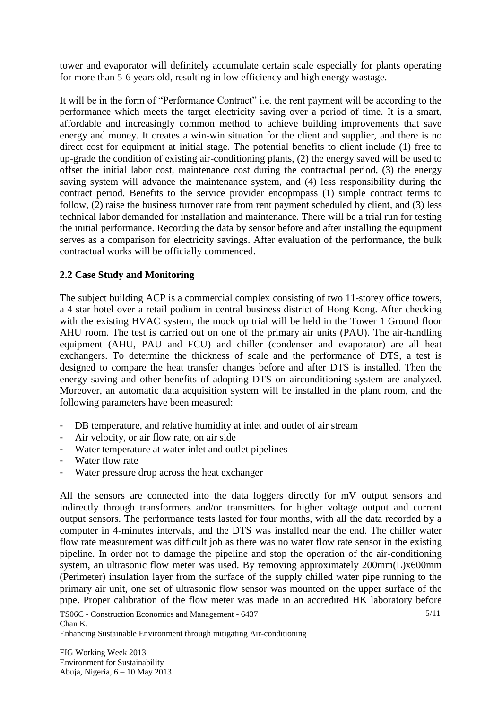tower and evaporator will definitely accumulate certain scale especially for plants operating for more than 5-6 years old, resulting in low efficiency and high energy wastage.

It will be in the form of "Performance Contract" i.e. the rent payment will be according to the performance which meets the target electricity saving over a period of time. It is a smart, affordable and increasingly common method to achieve building improvements that save energy and money. It creates a win-win situation for the client and supplier, and there is no direct cost for equipment at initial stage. The potential benefits to client include (1) free to up-grade the condition of existing air-conditioning plants, (2) the energy saved will be used to offset the initial labor cost, maintenance cost during the contractual period, (3) the energy saving system will advance the maintenance system, and (4) less responsibility during the contract period. Benefits to the service provider encopmpass (1) simple contract terms to follow, (2) raise the business turnover rate from rent payment scheduled by client, and (3) less technical labor demanded for installation and maintenance. There will be a trial run for testing the initial performance. Recording the data by sensor before and after installing the equipment serves as a comparison for electricity savings. After evaluation of the performance, the bulk contractual works will be officially commenced.

# **2.2 Case Study and Monitoring**

The subject building ACP is a commercial complex consisting of two 11-storey office towers, a 4 star hotel over a retail podium in central business district of Hong Kong. After checking with the existing HVAC system, the mock up trial will be held in the Tower 1 Ground floor AHU room. The test is carried out on one of the primary air units (PAU). The air-handling equipment (AHU, PAU and FCU) and chiller (condenser and evaporator) are all heat exchangers. To determine the thickness of scale and the performance of DTS, a test is designed to compare the heat transfer changes before and after DTS is installed. Then the energy saving and other benefits of adopting DTS on airconditioning system are analyzed. Moreover, an automatic data acquisition system will be installed in the plant room, and the following parameters have been measured:

- DB temperature, and relative humidity at inlet and outlet of air stream
- Air velocity, or air flow rate, on air side
- Water temperature at water inlet and outlet pipelines
- Water flow rate
- Water pressure drop across the heat exchanger

All the sensors are connected into the data loggers directly for mV output sensors and indirectly through transformers and/or transmitters for higher voltage output and current output sensors. The performance tests lasted for four months, with all the data recorded by a computer in 4-minutes intervals, and the DTS was installed near the end. The chiller water flow rate measurement was difficult job as there was no water flow rate sensor in the existing pipeline. In order not to damage the pipeline and stop the operation of the air-conditioning system, an ultrasonic flow meter was used. By removing approximately 200mm(L)x600mm (Perimeter) insulation layer from the surface of the supply chilled water pipe running to the primary air unit, one set of ultrasonic flow sensor was mounted on the upper surface of the pipe. Proper calibration of the flow meter was made in an accredited HK laboratory before

Enhancing Sustainable Environment through mitigating Air-conditioning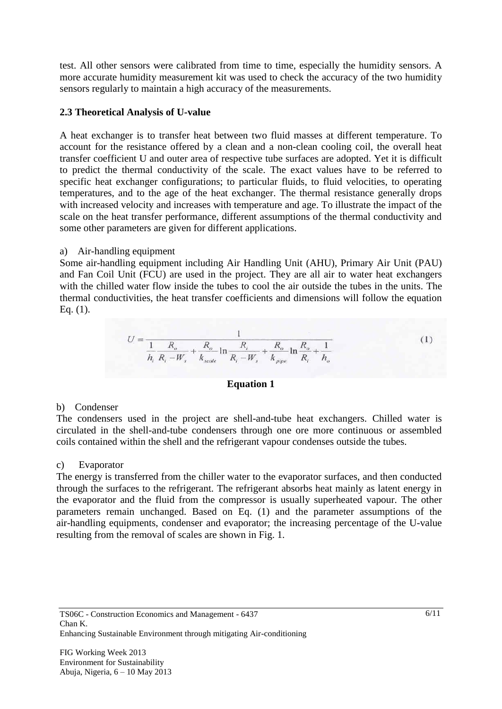test. All other sensors were calibrated from time to time, especially the humidity sensors. A more accurate humidity measurement kit was used to check the accuracy of the two humidity sensors regularly to maintain a high accuracy of the measurements.

### **2.3 Theoretical Analysis of U-value**

A heat exchanger is to transfer heat between two fluid masses at different temperature. To account for the resistance offered by a clean and a non-clean cooling coil, the overall heat transfer coefficient U and outer area of respective tube surfaces are adopted. Yet it is difficult to predict the thermal conductivity of the scale. The exact values have to be referred to specific heat exchanger configurations; to particular fluids, to fluid velocities, to operating temperatures, and to the age of the heat exchanger. The thermal resistance generally drops with increased velocity and increases with temperature and age. To illustrate the impact of the scale on the heat transfer performance, different assumptions of the thermal conductivity and some other parameters are given for different applications.

### a) Air-handling equipment

Some air-handling equipment including Air Handling Unit (AHU), Primary Air Unit (PAU) and Fan Coil Unit (FCU) are used in the project. They are all air to water heat exchangers with the chilled water flow inside the tubes to cool the air outside the tubes in the units. The thermal conductivities, the heat transfer coefficients and dimensions will follow the equation Eq. (1).

$$
U = \frac{1}{\frac{1}{h_i} \frac{R_o}{R_i - W_s} + \frac{R_o}{k_{scale}} \ln \frac{R_i}{R_i - W_s} + \frac{R_o}{k_{pipe}} \ln \frac{R_o}{R_i} + \frac{1}{h_o}}
$$
(1)

#### **Equation 1**

#### b) Condenser

The condensers used in the project are shell-and-tube heat exchangers. Chilled water is circulated in the shell-and-tube condensers through one ore more continuous or assembled coils contained within the shell and the refrigerant vapour condenses outside the tubes.

#### c) Evaporator

The energy is transferred from the chiller water to the evaporator surfaces, and then conducted through the surfaces to the refrigerant. The refrigerant absorbs heat mainly as latent energy in the evaporator and the fluid from the compressor is usually superheated vapour. The other parameters remain unchanged. Based on Eq. (1) and the parameter assumptions of the air-handling equipments, condenser and evaporator; the increasing percentage of the U-value resulting from the removal of scales are shown in Fig. 1.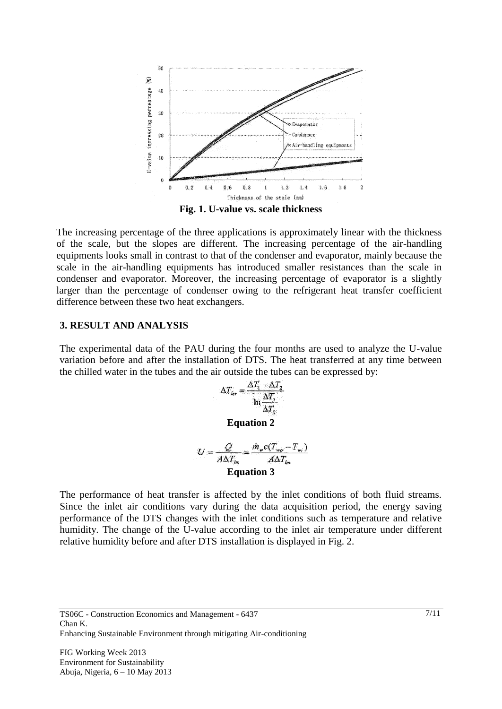

**Fig. 1. U-value vs. scale thickness**

The increasing percentage of the three applications is approximately linear with the thickness of the scale, but the slopes are different. The increasing percentage of the air-handling equipments looks small in contrast to that of the condenser and evaporator, mainly because the scale in the air-handling equipments has introduced smaller resistances than the scale in condenser and evaporator. Moreover, the increasing percentage of evaporator is a slightly larger than the percentage of condenser owing to the refrigerant heat transfer coefficient difference between these two heat exchangers.

#### **3. RESULT AND ANALYSIS**

The experimental data of the PAU during the four months are used to analyze the U-value variation before and after the installation of DTS. The heat transferred at any time between the chilled water in the tubes and the air outside the tubes can be expressed by:

$$
\Delta T_{lm} = \frac{\Delta T_1 - \Delta T_2}{\ln \frac{\Delta T_1}{\Delta T_2}}
$$
  
Equation 2

 $U = \frac{Q}{A\Delta T_{lm}} = \frac{\dot{m}_w c (T_{wa} - T_{w_l})}{A\Delta T_{lm}}$ **Equation 3**

The performance of heat transfer is affected by the inlet conditions of both fluid streams. Since the inlet air conditions vary during the data acquisition period, the energy saving performance of the DTS changes with the inlet conditions such as temperature and relative humidity. The change of the U-value according to the inlet air temperature under different relative humidity before and after DTS installation is displayed in Fig. 2.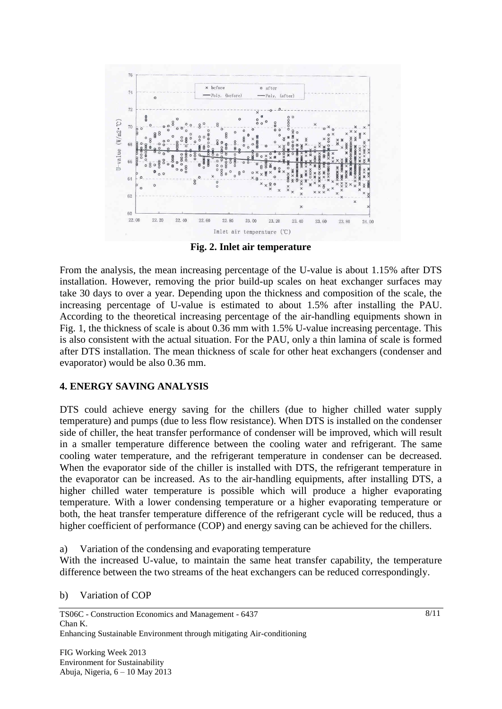

**Fig. 2. Inlet air temperature**

From the analysis, the mean increasing percentage of the U-value is about 1.15% after DTS installation. However, removing the prior build-up scales on heat exchanger surfaces may take 30 days to over a year. Depending upon the thickness and composition of the scale, the increasing percentage of U-value is estimated to about 1.5% after installing the PAU. According to the theoretical increasing percentage of the air-handling equipments shown in Fig. 1, the thickness of scale is about 0.36 mm with 1.5% U-value increasing percentage. This is also consistent with the actual situation. For the PAU, only a thin lamina of scale is formed after DTS installation. The mean thickness of scale for other heat exchangers (condenser and evaporator) would be also 0.36 mm.

#### **4. ENERGY SAVING ANALYSIS**

DTS could achieve energy saving for the chillers (due to higher chilled water supply temperature) and pumps (due to less flow resistance). When DTS is installed on the condenser side of chiller, the heat transfer performance of condenser will be improved, which will result in a smaller temperature difference between the cooling water and refrigerant. The same cooling water temperature, and the refrigerant temperature in condenser can be decreased. When the evaporator side of the chiller is installed with DTS, the refrigerant temperature in the evaporator can be increased. As to the air-handling equipments, after installing DTS, a higher chilled water temperature is possible which will produce a higher evaporating temperature. With a lower condensing temperature or a higher evaporating temperature or both, the heat transfer temperature difference of the refrigerant cycle will be reduced, thus a higher coefficient of performance (COP) and energy saving can be achieved for the chillers.

a) Variation of the condensing and evaporating temperature

With the increased U-value, to maintain the same heat transfer capability, the temperature difference between the two streams of the heat exchangers can be reduced correspondingly.

b) Variation of COP

TS06C - Construction Economics and Management - 6437 Chan K. Enhancing Sustainable Environment through mitigating Air-conditioning

FIG Working Week 2013 Environment for Sustainability Abuja, Nigeria, 6 – 10 May 2013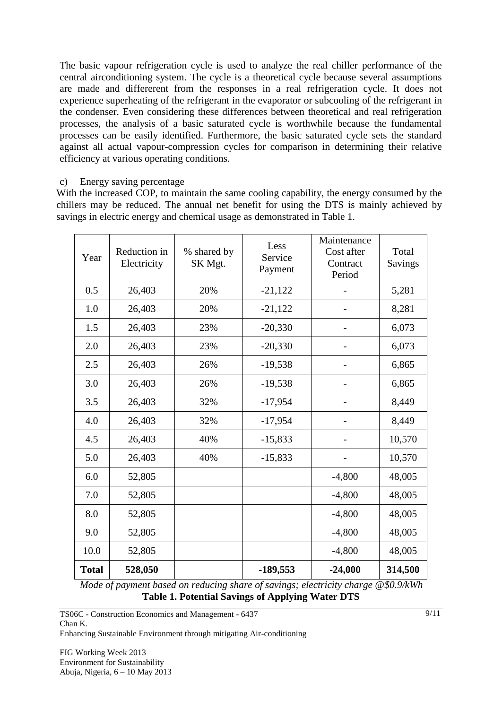The basic vapour refrigeration cycle is used to analyze the real chiller performance of the central airconditioning system. The cycle is a theoretical cycle because several assumptions are made and differerent from the responses in a real refrigeration cycle. It does not experience superheating of the refrigerant in the evaporator or subcooling of the refrigerant in the condenser. Even considering these differences between theoretical and real refrigeration processes, the analysis of a basic saturated cycle is worthwhile because the fundamental processes can be easily identified. Furthermore, the basic saturated cycle sets the standard against all actual vapour-compression cycles for comparison in determining their relative efficiency at various operating conditions.

### c) Energy saving percentage

With the increased COP, to maintain the same cooling capability, the energy consumed by the chillers may be reduced. The annual net benefit for using the DTS is mainly achieved by savings in electric energy and chemical usage as demonstrated in Table 1.

| Year         | Reduction in<br>Electricity | % shared by<br>SK Mgt. | Less<br>Service<br>Payment | Maintenance<br>Cost after<br>Contract<br>Period | Total<br>Savings |
|--------------|-----------------------------|------------------------|----------------------------|-------------------------------------------------|------------------|
| 0.5          | 26,403                      | 20%                    | $-21,122$                  |                                                 | 5,281            |
| 1.0          | 26,403                      | 20%                    | $-21,122$                  |                                                 | 8,281            |
| 1.5          | 26,403                      | 23%                    | $-20,330$                  |                                                 | 6,073            |
| 2.0          | 26,403                      | 23%                    | $-20,330$                  |                                                 | 6,073            |
| 2.5          | 26,403                      | 26%                    | $-19,538$                  |                                                 | 6,865            |
| 3.0          | 26,403                      | 26%                    | $-19,538$                  |                                                 | 6,865            |
| 3.5          | 26,403                      | 32%                    | $-17,954$                  |                                                 | 8,449            |
| 4.0          | 26,403                      | 32%                    | $-17,954$                  |                                                 | 8,449            |
| 4.5          | 26,403                      | 40%                    | $-15,833$                  |                                                 | 10,570           |
| 5.0          | 26,403                      | 40%                    | $-15,833$                  |                                                 | 10,570           |
| 6.0          | 52,805                      |                        |                            | $-4,800$                                        | 48,005           |
| 7.0          | 52,805                      |                        |                            | $-4,800$                                        | 48,005           |
| 8.0          | 52,805                      |                        |                            | $-4,800$                                        | 48,005           |
| 9.0          | 52,805                      |                        |                            | $-4,800$                                        | 48,005           |
| 10.0         | 52,805                      |                        |                            | $-4,800$                                        | 48,005           |
| <b>Total</b> | 528,050                     |                        | $-189,553$                 | $-24,000$                                       | 314,500          |

*Mode of payment based on reducing share of savings; electricity charge @\$0.9/kWh* **Table 1. Potential Savings of Applying Water DTS**

Enhancing Sustainable Environment through mitigating Air-conditioning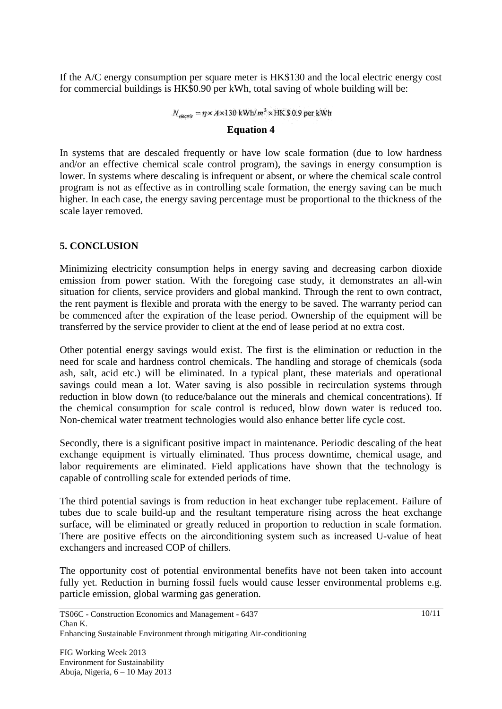If the A/C energy consumption per square meter is HK\$130 and the local electric energy cost for commercial buildings is HK\$0.90 per kWh, total saving of whole building will be:

$$
N_{electric} = \eta \times A \times 130 \text{ kWh/m}^2 \times \text{HK} 80.9 \text{ per kWh}
$$

#### **Equation 4**

In systems that are descaled frequently or have low scale formation (due to low hardness and/or an effective chemical scale control program), the savings in energy consumption is lower. In systems where descaling is infrequent or absent, or where the chemical scale control program is not as effective as in controlling scale formation, the energy saving can be much higher. In each case, the energy saving percentage must be proportional to the thickness of the scale layer removed.

# **5. CONCLUSION**

Minimizing electricity consumption helps in energy saving and decreasing carbon dioxide emission from power station. With the foregoing case study, it demonstrates an all-win situation for clients, service providers and global mankind. Through the rent to own contract, the rent payment is flexible and prorata with the energy to be saved. The warranty period can be commenced after the expiration of the lease period. Ownership of the equipment will be transferred by the service provider to client at the end of lease period at no extra cost.

Other potential energy savings would exist. The first is the elimination or reduction in the need for scale and hardness control chemicals. The handling and storage of chemicals (soda ash, salt, acid etc.) will be eliminated. In a typical plant, these materials and operational savings could mean a lot. Water saving is also possible in recirculation systems through reduction in blow down (to reduce/balance out the minerals and chemical concentrations). If the chemical consumption for scale control is reduced, blow down water is reduced too. Non-chemical water treatment technologies would also enhance better life cycle cost.

Secondly, there is a significant positive impact in maintenance. Periodic descaling of the heat exchange equipment is virtually eliminated. Thus process downtime, chemical usage, and labor requirements are eliminated. Field applications have shown that the technology is capable of controlling scale for extended periods of time.

The third potential savings is from reduction in heat exchanger tube replacement. Failure of tubes due to scale build-up and the resultant temperature rising across the heat exchange surface, will be eliminated or greatly reduced in proportion to reduction in scale formation. There are positive effects on the airconditioning system such as increased U-value of heat exchangers and increased COP of chillers.

The opportunity cost of potential environmental benefits have not been taken into account fully yet. Reduction in burning fossil fuels would cause lesser environmental problems e.g. particle emission, global warming gas generation.

TS06C - Construction Economics and Management - 6437 Chan K. Enhancing Sustainable Environment through mitigating Air-conditioning